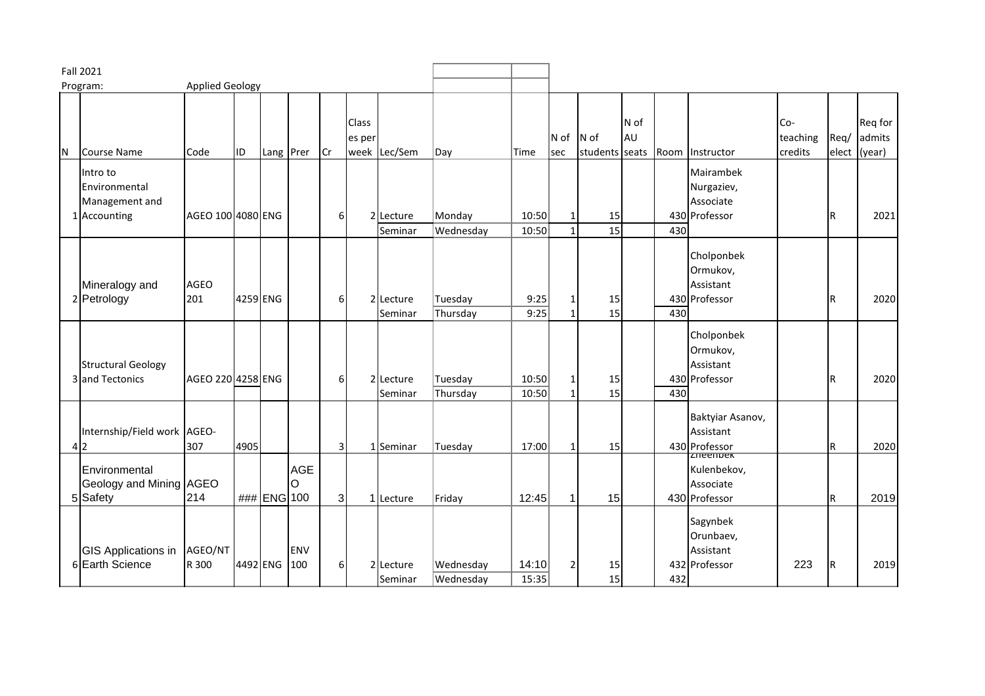| <b>Fall 2021</b>                   |                                                             |                    |      |              |                 |                |                 |                      |                        |                |             |                        |            |     |                                                            |                            |      |                                   |
|------------------------------------|-------------------------------------------------------------|--------------------|------|--------------|-----------------|----------------|-----------------|----------------------|------------------------|----------------|-------------|------------------------|------------|-----|------------------------------------------------------------|----------------------------|------|-----------------------------------|
| <b>Applied Geology</b><br>Program: |                                                             |                    |      |              |                 |                |                 |                      |                        |                |             |                        |            |     |                                                            |                            |      |                                   |
| N                                  | Course Name                                                 | Code               | ID   | Lang Prer    |                 | Cr             | Class<br>es per | week Lec/Sem         | Day                    | Time           | N of<br>sec | N of<br>students seats | N of<br>AU |     | Room Instructor                                            | Co-<br>teaching<br>credits | Req/ | Req for<br>admits<br>elect (year) |
|                                    | Intro to<br>Environmental<br>Management and<br>1 Accounting | AGEO 100 4080 ENG  |      |              |                 | 6              |                 | 2 Lecture<br>Seminar | Monday<br>Wednesday    | 10:50<br>10:50 |             | 15<br>$\overline{15}$  |            | 430 | Mairambek<br>Nurgaziev,<br>Associate<br>430 Professor      |                            | l R  | 2021                              |
|                                    | Mineralogy and<br>2 Petrology                               | <b>AGEO</b><br>201 |      | 4259 ENG     |                 | 6              |                 | 2 Lecture<br>Seminar | Tuesday<br>Thursday    | 9:25<br>9:25   |             | 15<br>15               |            | 430 | Cholponbek<br>Ormukov,<br>Assistant<br>430 Professor       |                            | l R  | 2020                              |
|                                    | <b>Structural Geology</b><br>3 and Tectonics                | AGEO 220 4258 ENG  |      |              |                 | 6              |                 | 2 Lecture<br>Seminar | Tuesday<br>Thursday    | 10:50<br>10:50 | 1           | 15<br>15               |            | 430 | Cholponbek<br>Ormukov,<br>Assistant<br>430 Professor       |                            | l R  | 2020                              |
|                                    | Internship/Field work AGEO-<br>4 2                          | 307                | 4905 |              |                 | 3              |                 | 1 Seminar            | Tuesday                | 17:00          | -1          | 15                     |            |     | Baktyiar Asanov,<br>Assistant<br>430 Professor<br>zneenpek |                            | R    | 2020                              |
|                                    | Environmental<br>Geology and Mining AGEO<br>5 Safety        | 214                |      | ### ENG 100  | <b>AGE</b><br>O | $\overline{3}$ |                 | 1 Lecture            | Friday                 | 12:45          | -1          | 15                     |            |     | Kulenbekov,<br>Associate<br>430 Professor                  |                            | R    | 2019                              |
|                                    | <b>GIS Applications in</b><br>6 Earth Science               | AGEO/NT<br>R 300   |      | 4492 ENG 100 | <b>ENV</b>      | 6              |                 | 2 Lecture<br>Seminar | Wednesday<br>Wednesday | 14:10<br>15:35 | 2           | 15<br>15               |            | 432 | Sagynbek<br>Orunbaev,<br>Assistant<br>432 Professor        | 223                        | IR.  | 2019                              |